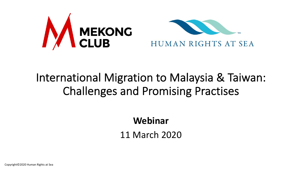

#### International Migration to Malaysia & Taiwan: Challenges and Promising Practises

**Webinar**

11 March 2020

Copyright©2020 Human Rights at Sea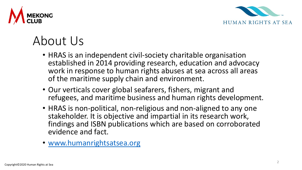



## About Us

- HRAS is an independent civil-society charitable organisation established in 2014 providing research, education and advocacy work in response to human rights abuses at sea across all areas of the maritime supply chain and environment.
- Our verticals cover global seafarers, fishers, migrant and refugees, and maritime business and human rights development.
- HRAS is non-political, non-religious and non-aligned to any one stakeholder. It is objective and impartial in its research work, findings and ISBN publications which are based on corroborated evidence and fact.
- [www.humanrightsatsea.org](http://www.humanrightsatsea.org/)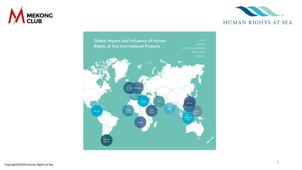



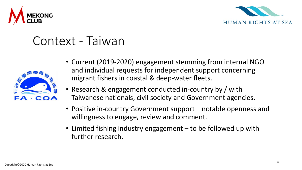



#### Context - Taiwan



- Current (2019-2020) engagement stemming from internal NGO and individual requests for independent support concerning migrant fishers in coastal & deep-water fleets.
- Research & engagement conducted in-country by / with Taiwanese nationals, civil society and Government agencies.
- Positive in-country Government support notable openness and willingness to engage, review and comment.
- Limited fishing industry engagement to be followed up with further research.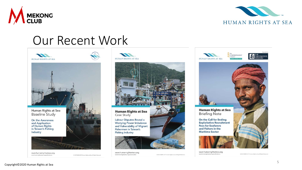



### Our Recent Work





www.humanrightsatsea.org www.humanrightsatsea.org/publications/

C CCTOBER 2019 Human Rights at Sea All Rights Reserved.





**Human Rights at Sea** Case Study

Labour Disputes Reveal a **Worrying Power Imbalance** and Vulnerability of Migrant **Fishermen in Taiwan's Fishing Industry** 



www.humanrightsatsea.org www.humanrightsatsea.org/case-studies/

C DECEMBER 2019 Human Rights at Sea All Rights Reserved.





www.humanrightsatsea.org www.humanrightsatsea.org/publications

C DECEMBER 2019 Human Rights at Soa All Rights Reserved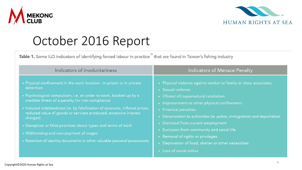



## October 2016 Report

Table 1. Some ILO indicators of identifying forced labour in practice<sup>18</sup> that are found in Taiwan's fishing industry

| Indicators of Involuntariness                                                                                                                                                                                                                                                                                                                                                                                                                                                                                                                                | Indicators of Menace Penalty                                                                                                                                                                                                                                                                                                                                                                                                                                                                    |
|--------------------------------------------------------------------------------------------------------------------------------------------------------------------------------------------------------------------------------------------------------------------------------------------------------------------------------------------------------------------------------------------------------------------------------------------------------------------------------------------------------------------------------------------------------------|-------------------------------------------------------------------------------------------------------------------------------------------------------------------------------------------------------------------------------------------------------------------------------------------------------------------------------------------------------------------------------------------------------------------------------------------------------------------------------------------------|
| • Physical confinement in the work location - in prison or in private<br>detention<br>· Psychological compulsion, i.e. an order to work, backed up by a<br>credible threat of a penalty for non-compliance<br>• Induced indebtedness (ie. by falsification of accounts, inflated prices,<br>reduced value of goods or services produced, excessive interest<br>charges)<br>• Deception or false promises about types and terms of work<br>• Withholding and non-payment of wages<br>• Retention of identity documents or other valuable personal possessions | • Physical violence against worker or family or close associates<br>• Sexual violence<br>• (Threat of) supernatural retaliation<br>• Imprisonment or other physical confinement<br>• Financial penalties<br>• Denunciation to authorities (ie. police, immigration) and deportation<br>• Dismissal from current employment<br>• Exclusion from community and social life<br>• Removal of rights or privileges<br>• Deprivation of food, shelter or other necessities<br>• Loss of social status |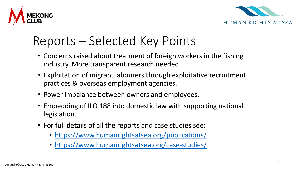



#### Reports – Selected Key Points

- Concerns raised about treatment of foreign workers in the fishing industry. More transparent research needed.
- Exploitation of migrant labourers through exploitative recruitment practices & overseas employment agencies.
- Power imbalance between owners and employees.
- Embedding of ILO 188 into domestic law with supporting national legislation.
- For full details of all the reports and case studies see:
	- <https://www.humanrightsatsea.org/publications/>
	- <https://www.humanrightsatsea.org/case-studies/>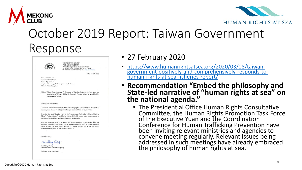



#### October 2019 Report: Taiwan Government Response



- 27 February 2020
- https://www.humanrightsatsea.org/2020/03/08/taiwan- [government-positively-and-comprehensively-responds-to-](https://www.humanrightsatsea.org/2020/03/08/taiwan-government-positively-and-comprehensively-responds-to-human-rights-at-sea-fisheries-report/) human-rights-at-sea-fisheries-report/
- **Recommendation "Embed the philosophy and State-led narrative of "human rights at sea" on the national agenda."**
	- The Presidential Office Human Rights Consultative Committee, the Human Rights Promotion Task Force of the Executive Yuan and the Coordination Conference for Human Trafficking Prevention have been inviting relevant ministries and agencies to convene meeting regularly. Relevant issues being addressed in such meetings have already embraced the philosophy of human rights at sea.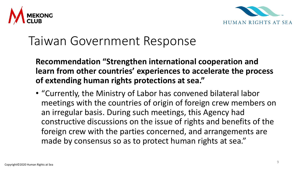



#### Taiwan Government Response

**Recommendation "Strengthen international cooperation and learn from other countries' experiences to accelerate the process of extending human rights protections at sea."**

• "Currently, the Ministry of Labor has convened bilateral labor meetings with the countries of origin of foreign crew members on an irregular basis. During such meetings, this Agency had constructive discussions on the issue of rights and benefits of the foreign crew with the parties concerned, and arrangements are made by consensus so as to protect human rights at sea."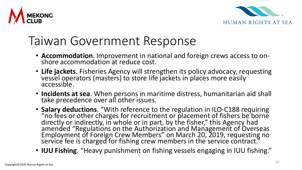



### Taiwan Government Response

- **Accommodation**. Improvement in national and foreign crews access to on- shore accommodation at reduce cost.
- **Life jackets**. Fisheries Agency will strengthen its policy advocacy, requesting vessel operators (masters) to store life jackets in places more easily accessible.
- **Incidents at sea**. When persons in maritime distress, humanitarian aid shall take precedence over all other issues.
- **Salary deductions**. "With reference to the regulation in ILO-C188 requiring "no fees or other charges for recruitment or placement of fishers be borne directly or indirectly, in whole or in part, by the fisher," this Agency had amended "Regulations on the Authorization and Management of Overseas Employment of Foreign Crew Members" on March 20, 2019, requesting no service fee is charged for fishing crew members in the service contract."
- **IUU Fishing**. "Heavy punishment on fishing vessels engaging in IUU fishing."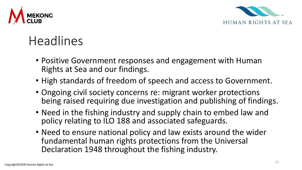



# Headlines

- Positive Government responses and engagement with Human Rights at Sea and our findings.
- High standards of freedom of speech and access to Government.
- Ongoing civil society concerns re: migrant worker protections being raised requiring due investigation and publishing of findings.
- Need in the fishing industry and supply chain to embed law and policy relating to ILO 188 and associated safeguards.
- Need to ensure national policy and law exists around the wider fundamental human rights protections from the Universal Declaration 1948 throughout the fishing industry.